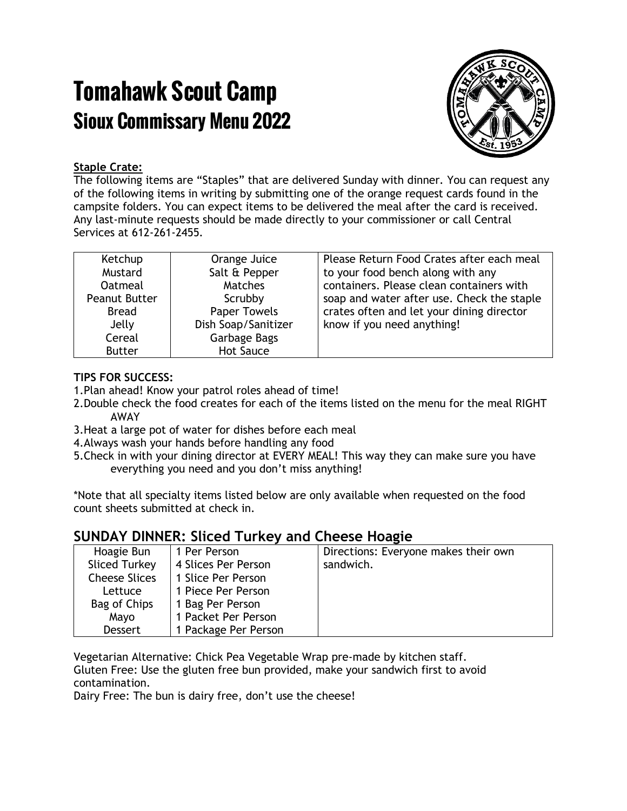# Tomahawk Scout Camp Sioux Commissary Menu 2022



#### **Staple Crate:**

The following items are "Staples" that are delivered Sunday with dinner. You can request any of the following items in writing by submitting one of the orange request cards found in the campsite folders. You can expect items to be delivered the meal after the card is received. Any last-minute requests should be made directly to your commissioner or call Central Services at 612-261-2455.

| Ketchup        | Orange Juice        | Please Return Food Crates after each meal  |
|----------------|---------------------|--------------------------------------------|
| Mustard        | Salt & Pepper       | to your food bench along with any          |
| <b>Oatmeal</b> | <b>Matches</b>      | containers. Please clean containers with   |
| Peanut Butter  | Scrubby             | soap and water after use. Check the staple |
| <b>Bread</b>   | <b>Paper Towels</b> | crates often and let your dining director  |
| Jelly          | Dish Soap/Sanitizer | know if you need anything!                 |
| Cereal         | Garbage Bags        |                                            |
| <b>Butter</b>  | <b>Hot Sauce</b>    |                                            |

#### **TIPS FOR SUCCESS:**

- 1.Plan ahead! Know your patrol roles ahead of time!
- 2.Double check the food creates for each of the items listed on the menu for the meal RIGHT AWAY
- 3.Heat a large pot of water for dishes before each meal
- 4.Always wash your hands before handling any food
- 5.Check in with your dining director at EVERY MEAL! This way they can make sure you have everything you need and you don't miss anything!

\*Note that all specialty items listed below are only available when requested on the food count sheets submitted at check in.

## **SUNDAY DINNER: Sliced Turkey and Cheese Hoagie**

| Hoagie Bun           | 1 Per Person         | Directions: Everyone makes their own |
|----------------------|----------------------|--------------------------------------|
| Sliced Turkey        | 4 Slices Per Person  | sandwich.                            |
| <b>Cheese Slices</b> | 1 Slice Per Person   |                                      |
| Lettuce              | 1 Piece Per Person   |                                      |
| Bag of Chips         | 1 Bag Per Person     |                                      |
| Mayo                 | 1 Packet Per Person  |                                      |
| <b>Dessert</b>       | 1 Package Per Person |                                      |

Vegetarian Alternative: Chick Pea Vegetable Wrap pre-made by kitchen staff. Gluten Free: Use the gluten free bun provided, make your sandwich first to avoid contamination.

Dairy Free: The bun is dairy free, don't use the cheese!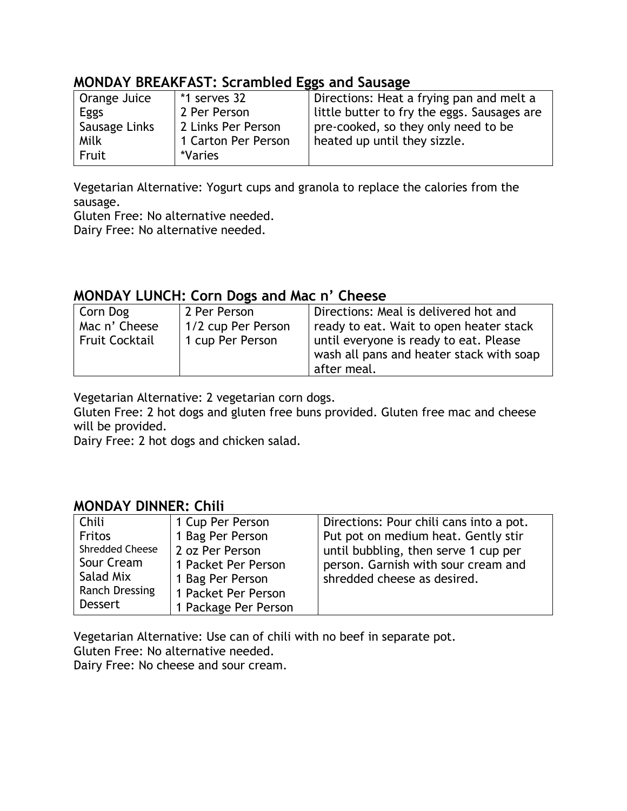## **MONDAY BREAKFAST: Scrambled Eggs and Sausage**

| Orange Juice    | *1 serves 32        | Directions: Heat a frying pan and melt a    |
|-----------------|---------------------|---------------------------------------------|
| Eggs            | 2 Per Person        | little butter to fry the eggs. Sausages are |
| ' Sausage Links | 2 Links Per Person  | pre-cooked, so they only need to be         |
| Milk            | 1 Carton Per Person | heated up until they sizzle.                |
| Fruit           | *Varies             |                                             |

Vegetarian Alternative: Yogurt cups and granola to replace the calories from the sausage.

Gluten Free: No alternative needed. Dairy Free: No alternative needed.

### **MONDAY LUNCH: Corn Dogs and Mac n' Cheese**

| Corn Dog              | 2 Per Person       | Directions: Meal is delivered hot and    |
|-----------------------|--------------------|------------------------------------------|
| Mac n' Cheese         | 1/2 cup Per Person | ready to eat. Wait to open heater stack  |
| <b>Fruit Cocktail</b> | 1 cup Per Person   | until everyone is ready to eat. Please   |
|                       |                    | wash all pans and heater stack with soap |
|                       |                    | after meal.                              |

Vegetarian Alternative: 2 vegetarian corn dogs.

Gluten Free: 2 hot dogs and gluten free buns provided. Gluten free mac and cheese will be provided.

Dairy Free: 2 hot dogs and chicken salad.

## **MONDAY DINNER: Chili**

| Chili                 | 1 Cup Per Person     | Directions: Pour chili cans into a pot. |
|-----------------------|----------------------|-----------------------------------------|
| <b>Fritos</b>         | 1 Bag Per Person     | Put pot on medium heat. Gently stir     |
| Shredded Cheese       | 2 oz Per Person      | until bubbling, then serve 1 cup per    |
| Sour Cream            | 1 Packet Per Person  | person. Garnish with sour cream and     |
| Salad Mix             | 1 Bag Per Person     | shredded cheese as desired.             |
| <b>Ranch Dressing</b> | 1 Packet Per Person  |                                         |
| <b>Dessert</b>        | 1 Package Per Person |                                         |

Vegetarian Alternative: Use can of chili with no beef in separate pot.

Gluten Free: No alternative needed.

Dairy Free: No cheese and sour cream.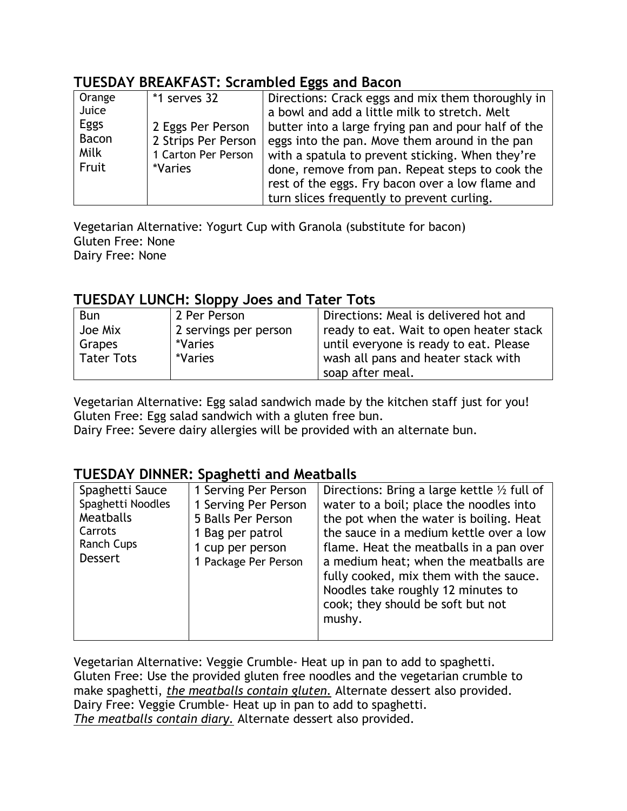## **TUESDAY BREAKFAST: Scrambled Eggs and Bacon**

| Orange<br>Juice<br>Eggs<br><b>Bacon</b><br>Milk<br>Fruit | *1 serves 32<br>2 Eggs Per Person<br>2 Strips Per Person<br>1 Carton Per Person<br>*Varies | Directions: Crack eggs and mix them thoroughly in<br>a bowl and add a little milk to stretch. Melt<br>butter into a large frying pan and pour half of the<br>eggs into the pan. Move them around in the pan<br>with a spatula to prevent sticking. When they're<br>done, remove from pan. Repeat steps to cook the |
|----------------------------------------------------------|--------------------------------------------------------------------------------------------|--------------------------------------------------------------------------------------------------------------------------------------------------------------------------------------------------------------------------------------------------------------------------------------------------------------------|
|                                                          |                                                                                            | rest of the eggs. Fry bacon over a low flame and                                                                                                                                                                                                                                                                   |
|                                                          |                                                                                            | turn slices frequently to prevent curling.                                                                                                                                                                                                                                                                         |

Vegetarian Alternative: Yogurt Cup with Granola (substitute for bacon) Gluten Free: None Dairy Free: None

## **TUESDAY LUNCH: Sloppy Joes and Tater Tots**

| <b>Bun</b>        | 2 Per Person          | Directions: Meal is delivered hot and   |
|-------------------|-----------------------|-----------------------------------------|
| Joe Mix           | 2 servings per person | ready to eat. Wait to open heater stack |
| Grapes            | *Varies               | until everyone is ready to eat. Please  |
| <b>Tater Tots</b> | *Varies               | wash all pans and heater stack with     |
|                   |                       | soap after meal.                        |

Vegetarian Alternative: Egg salad sandwich made by the kitchen staff just for you! Gluten Free: Egg salad sandwich with a gluten free bun.

Dairy Free: Severe dairy allergies will be provided with an alternate bun.

## **TUESDAY DINNER: Spaghetti and Meatballs**

Vegetarian Alternative: Veggie Crumble- Heat up in pan to add to spaghetti. Gluten Free: Use the provided gluten free noodles and the vegetarian crumble to make spaghetti, *the meatballs contain gluten.* Alternate dessert also provided. Dairy Free: Veggie Crumble- Heat up in pan to add to spaghetti. *The meatballs contain diary.* Alternate dessert also provided.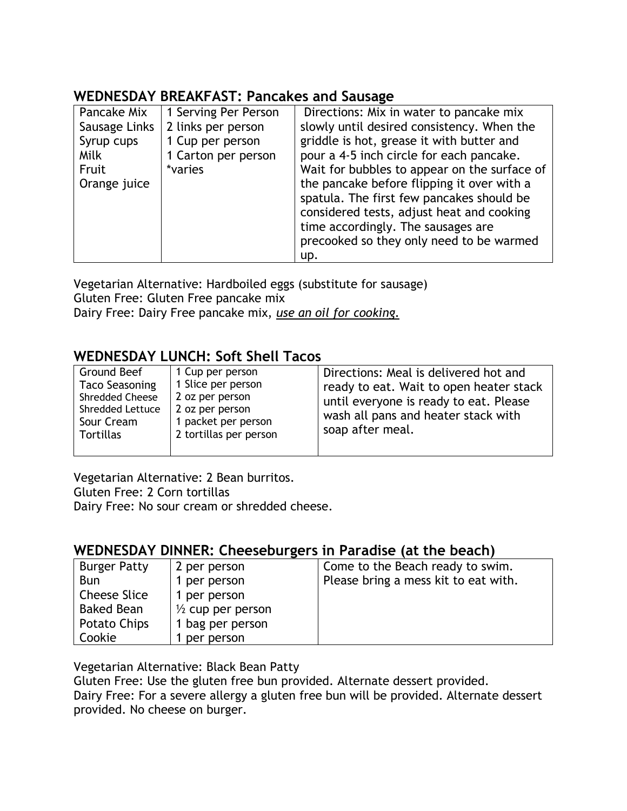# **WEDNESDAY BREAKFAST: Pancakes and Sausage**

Vegetarian Alternative: Hardboiled eggs (substitute for sausage) Gluten Free: Gluten Free pancake mix

Dairy Free: Dairy Free pancake mix, *use an oil for cooking.*

## **WEDNESDAY LUNCH: Soft Shell Tacos**

| Ground Beef<br><b>Taco Seasoning</b><br>Shredded Cheese<br>Shredded Lettuce<br>Sour Cream<br><b>Tortillas</b> | 1 Cup per person<br>1 Slice per person<br>2 oz per person<br>2 oz per person<br>1 packet per person<br>2 tortillas per person | Directions: Meal is delivered hot and<br>ready to eat. Wait to open heater stack<br>until everyone is ready to eat. Please<br>wash all pans and heater stack with<br>soap after meal. |
|---------------------------------------------------------------------------------------------------------------|-------------------------------------------------------------------------------------------------------------------------------|---------------------------------------------------------------------------------------------------------------------------------------------------------------------------------------|
|---------------------------------------------------------------------------------------------------------------|-------------------------------------------------------------------------------------------------------------------------------|---------------------------------------------------------------------------------------------------------------------------------------------------------------------------------------|

Vegetarian Alternative: 2 Bean burritos. Gluten Free: 2 Corn tortillas Dairy Free: No sour cream or shredded cheese.

## **WEDNESDAY DINNER: Cheeseburgers in Paradise (at the beach)**

| <b>Burger Patty</b> | 2 per person                 | Come to the Beach ready to swim.     |
|---------------------|------------------------------|--------------------------------------|
| <b>Bun</b>          | 1 per person                 | Please bring a mess kit to eat with. |
| <b>Cheese Slice</b> | 1 per person                 |                                      |
| <b>Baked Bean</b>   | $\frac{1}{2}$ cup per person |                                      |
| Potato Chips        | 1 bag per person             |                                      |
| Cookie              | per person                   |                                      |

Vegetarian Alternative: Black Bean Patty

Gluten Free: Use the gluten free bun provided. Alternate dessert provided.

Dairy Free: For a severe allergy a gluten free bun will be provided. Alternate dessert provided. No cheese on burger.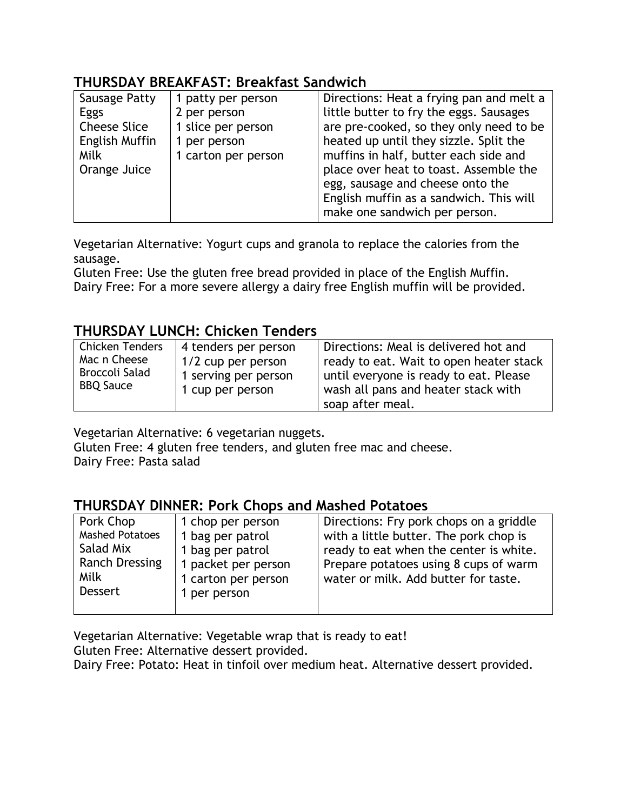## **THURSDAY BREAKFAST: Breakfast Sandwich**

| Sausage Patty       | 1 patty per person  | Directions: Heat a frying pan and melt a |
|---------------------|---------------------|------------------------------------------|
| Eggs                | 2 per person        | little butter to fry the eggs. Sausages  |
| <b>Cheese Slice</b> | 1 slice per person  | are pre-cooked, so they only need to be  |
| English Muffin      | 1 per person        | heated up until they sizzle. Split the   |
| Milk                | 1 carton per person | muffins in half, butter each side and    |
| Orange Juice        |                     | place over heat to toast. Assemble the   |
|                     |                     | egg, sausage and cheese onto the         |
|                     |                     | English muffin as a sandwich. This will  |
|                     |                     | make one sandwich per person.            |

Vegetarian Alternative: Yogurt cups and granola to replace the calories from the sausage.

Gluten Free: Use the gluten free bread provided in place of the English Muffin. Dairy Free: For a more severe allergy a dairy free English muffin will be provided.

## **THURSDAY LUNCH: Chicken Tenders**

| Chicken Tenders  | 4 tenders per person | Directions: Meal is delivered hot and   |
|------------------|----------------------|-----------------------------------------|
| Mac n Cheese     | $1/2$ cup per person | ready to eat. Wait to open heater stack |
| Broccoli Salad   | 1 serving per person | until everyone is ready to eat. Please  |
| <b>BBQ Sauce</b> | 1 cup per person     | wash all pans and heater stack with     |
|                  |                      | soap after meal.                        |

Vegetarian Alternative: 6 vegetarian nuggets.

Gluten Free: 4 gluten free tenders, and gluten free mac and cheese.

Dairy Free: Pasta salad

### **THURSDAY DINNER: Pork Chops and Mashed Potatoes**

| Pork Chop                                       | 1 chop per person                                          | Directions: Fry pork chops on a griddle                                          |
|-------------------------------------------------|------------------------------------------------------------|----------------------------------------------------------------------------------|
| <b>Mashed Potatoes</b><br>Salad Mix             | 1 bag per patrol<br>1 bag per patrol                       | with a little butter. The pork chop is<br>ready to eat when the center is white. |
| <b>Ranch Dressing</b><br>Milk<br><b>Dessert</b> | 1 packet per person<br>1 carton per person<br>1 per person | Prepare potatoes using 8 cups of warm<br>water or milk. Add butter for taste.    |

Vegetarian Alternative: Vegetable wrap that is ready to eat!

Gluten Free: Alternative dessert provided.

Dairy Free: Potato: Heat in tinfoil over medium heat. Alternative dessert provided.